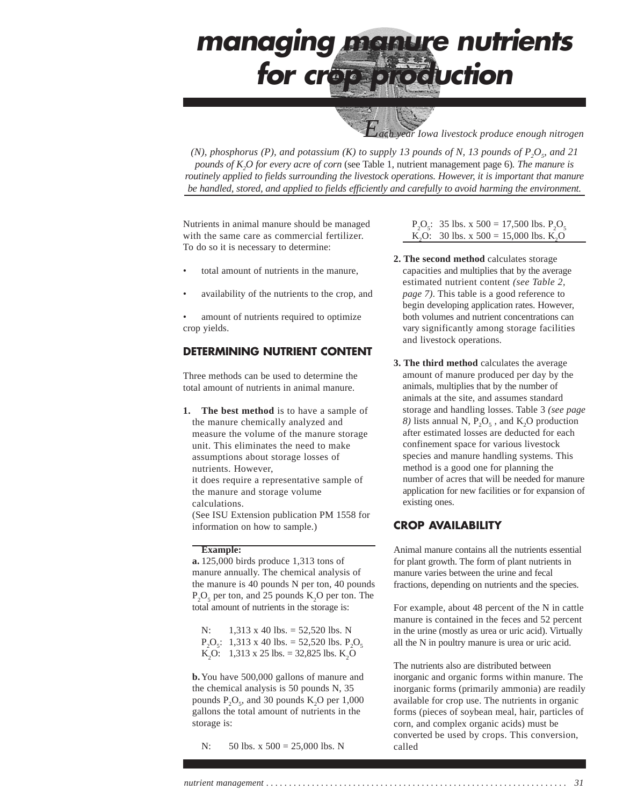*Each year Iowa livestock produce enough nitrogen*

*(N), phosphorus (P), and potassium (K) to supply 13 pounds of N, 13 pounds of*  $P_2O_s$  *and 21 pounds of K2 O for every acre of corn* (see Table 1, nutrient management page 6)*. The manure is routinely applied to fields surrounding the livestock operations. However, it is important that manure be handled, stored, and applied to fields efficiently and carefully to avoid harming the environment.*

Nutrients in animal manure should be managed with the same care as commercial fertilizer. To do so it is necessary to determine:

- total amount of nutrients in the manure,
- availability of the nutrients to the crop, and
- amount of nutrients required to optimize crop yields.

### **DETERMINING NUTRIENT CONTENT**

Three methods can be used to determine the total amount of nutrients in animal manure.

**1. The best method** is to have a sample of the manure chemically analyzed and measure the volume of the manure storage unit. This eliminates the need to make assumptions about storage losses of nutrients. However, it does require a representative sample of the manure and storage volume calculations. (See ISU Extension publication PM 1558 for information on how to sample.)

#### **Example:**

**a.** 125,000 birds produce 1,313 tons of manure annually. The chemical analysis of the manure is 40 pounds N per ton, 40 pounds  $P_2O_5$  per ton, and 25 pounds  $K_2O$  per ton. The total amount of nutrients in the storage is:

N:  $1,313 \times 40$  lbs. = 52,520 lbs. N  $P_2O_5$ : 1,313 x 40 lbs. = 52,520 lbs.  $P_2O_5$ K<sub>2</sub>O: 1,313 x 25 lbs. = 32,825 lbs. K<sub>2</sub>O

**b.**You have 500,000 gallons of manure and the chemical analysis is 50 pounds N, 35 pounds  $P_2O_5$ , and 30 pounds  $K_2O$  per 1,000 gallons the total amount of nutrients in the storage is:

N: 50 lbs. x 500 = 25,000 lbs. N

 $P_2O_5$ : 35 lbs. x 500 = 17,500 lbs.  $P_2O_5$ K<sub>2</sub>O: 30 lbs. x 500 = 15,000 lbs. K<sub>2</sub>O

- **2. The second method** calculates storage capacities and multiplies that by the average estimated nutrient content *(see Table 2, page 7)*. This table is a good reference to begin developing application rates. However, both volumes and nutrient concentrations can vary significantly among storage facilities and livestock operations.
- **3. The third method** calculates the average amount of manure produced per day by the animals, multiplies that by the number of animals at the site, and assumes standard storage and handling losses. Table 3 *(see page*  $8)$  lists annual N,  $P_2O_5$ , and K<sub>2</sub>O production after estimated losses are deducted for each confinement space for various livestock species and manure handling systems. This method is a good one for planning the number of acres that will be needed for manure application for new facilities or for expansion of existing ones.

### **CROP AVAILABILITY**

Animal manure contains all the nutrients essential for plant growth. The form of plant nutrients in manure varies between the urine and fecal fractions, depending on nutrients and the species.

For example, about 48 percent of the N in cattle manure is contained in the feces and 52 percent in the urine (mostly as urea or uric acid). Virtually all the N in poultry manure is urea or uric acid.

The nutrients also are distributed between inorganic and organic forms within manure. The inorganic forms (primarily ammonia) are readily available for crop use. The nutrients in organic forms (pieces of soybean meal, hair, particles of corn, and complex organic acids) must be converted be used by crops. This conversion, called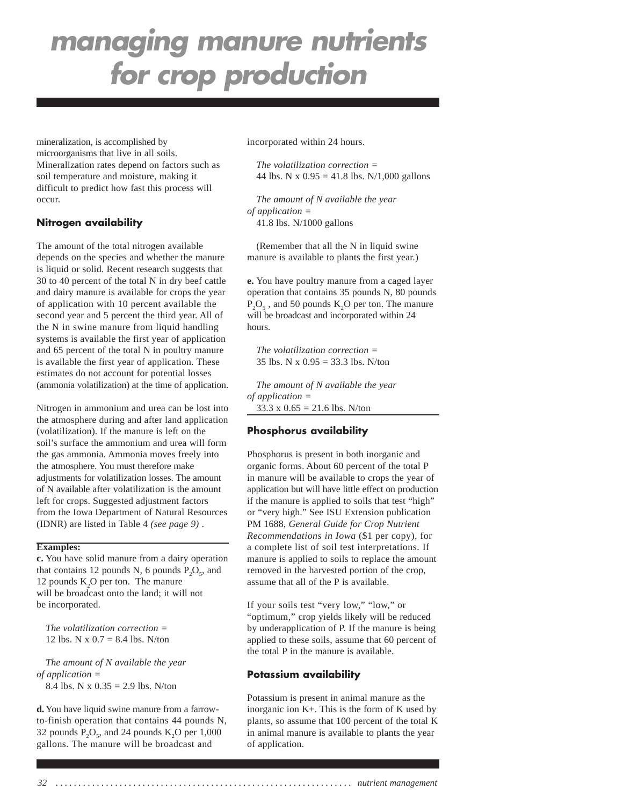mineralization, is accomplished by microorganisms that live in all soils. Mineralization rates depend on factors such as soil temperature and moisture, making it difficult to predict how fast this process will occur.

#### **Nitrogen availability**

The amount of the total nitrogen available depends on the species and whether the manure is liquid or solid. Recent research suggests that 30 to 40 percent of the total N in dry beef cattle and dairy manure is available for crops the year of application with 10 percent available the second year and 5 percent the third year. All of the N in swine manure from liquid handling systems is available the first year of application and 65 percent of the total N in poultry manure is available the first year of application. These estimates do not account for potential losses (ammonia volatilization) at the time of application.

Nitrogen in ammonium and urea can be lost into the atmosphere during and after land application (volatilization). If the manure is left on the soil's surface the ammonium and urea will form the gas ammonia. Ammonia moves freely into the atmosphere. You must therefore make adjustments for volatilization losses. The amount of N available after volatilization is the amount left for crops. Suggested adjustment factors from the Iowa Department of Natural Resources (IDNR) are listed in Table 4 *(see page 9)* .

#### **Examples:**

**c.** You have solid manure from a dairy operation that contains 12 pounds N, 6 pounds  $P_2O_5$ , and 12 pounds K<sub>2</sub>O per ton. The manure will be broadcast onto the land; it will not be incorporated.

*The volatilization correction =* 12 lbs. N x  $0.7 = 8.4$  lbs. N/ton

*The amount of N available the year of application =* 8.4 lbs. N x  $0.35 = 2.9$  lbs. N/ton

**d.** You have liquid swine manure from a farrowto-finish operation that contains 44 pounds N, 32 pounds  $P_2O_5$ , and 24 pounds K<sub>2</sub>O per 1,000 gallons. The manure will be broadcast and

incorporated within 24 hours.

*The volatilization correction =* 44 lbs. N x  $0.95 = 41.8$  lbs. N/1,000 gallons

*The amount of N available the year of application =* 41.8 lbs. N/1000 gallons

(Remember that all the N in liquid swine manure is available to plants the first year.)

**e.** You have poultry manure from a caged layer operation that contains 35 pounds N, 80 pounds  $P_2O_5$ , and 50 pounds  $K_2O$  per ton. The manure will be broadcast and incorporated within 24 hours.

*The volatilization correction =* 35 lbs. N x 0.95 = 33.3 lbs. N/ton

*The amount of N available the year of application =*

33.3 x  $0.65 = 21.6$  lbs. N/ton

#### **Phosphorus availability**

Phosphorus is present in both inorganic and organic forms. About 60 percent of the total P in manure will be available to crops the year of application but will have little effect on production if the manure is applied to soils that test "high" or "very high." See ISU Extension publication PM 1688, *General Guide for Crop Nutrient Recommendations in Iowa* (\$1 per copy), for a complete list of soil test interpretations. If manure is applied to soils to replace the amount removed in the harvested portion of the crop, assume that all of the P is available.

If your soils test "very low," "low," or "optimum," crop yields likely will be reduced by underapplication of P. If the manure is being applied to these soils, assume that 60 percent of the total P in the manure is available.

#### **Potassium availability**

Potassium is present in animal manure as the inorganic ion K+. This is the form of K used by plants, so assume that 100 percent of the total K in animal manure is available to plants the year of application.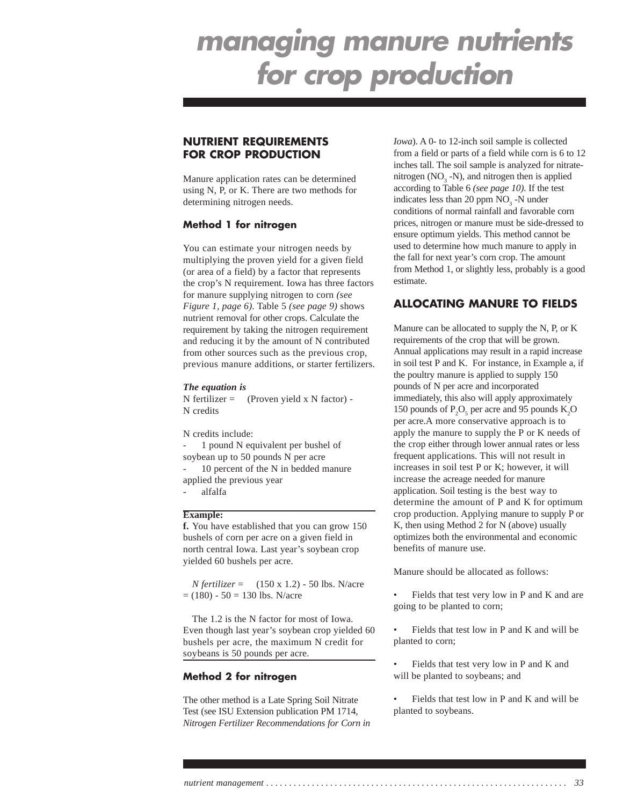### **NUTRIENT REQUIREMENTS FOR CROP PRODUCTION**

Manure application rates can be determined using N, P, or K. There are two methods for determining nitrogen needs.

#### **Method 1 for nitrogen**

You can estimate your nitrogen needs by multiplying the proven yield for a given field (or area of a field) by a factor that represents the crop's N requirement. Iowa has three factors for manure supplying nitrogen to corn *(see Figure 1, page 6)*. Table 5 *(see page 9)* shows nutrient removal for other crops. Calculate the requirement by taking the nitrogen requirement and reducing it by the amount of N contributed from other sources such as the previous crop, previous manure additions, or starter fertilizers.

#### *The equation is*

 $N$  fertilizer = (Proven yield x N factor) -N credits

N credits include:

1 pound N equivalent per bushel of soybean up to 50 pounds N per acre 10 percent of the N in bedded manure applied the previous year

- alfalfa

#### **Example:**

**f.** You have established that you can grow 150 bushels of corn per acre on a given field in north central Iowa. Last year's soybean crop yielded 60 bushels per acre.

*N fertilizer* = (150 x 1.2) - 50 lbs. N/acre  $= (180) - 50 = 130$  lbs. N/acre

The 1.2 is the N factor for most of Iowa. Even though last year's soybean crop yielded 60 bushels per acre, the maximum N credit for soybeans is 50 pounds per acre.

#### **Method 2 for nitrogen**

The other method is a Late Spring Soil Nitrate Test (see ISU Extension publication PM 1714, *Nitrogen Fertilizer Recommendations for Corn in* *Iowa*). A 0- to 12-inch soil sample is collected from a field or parts of a field while corn is 6 to 12 inches tall. The soil sample is analyzed for nitratenitrogen (NO<sub>3</sub> -N), and nitrogen then is applied according to Table 6 *(see page 10)*. If the test indicates less than 20 ppm  $NO<sub>3</sub>$  -N under conditions of normal rainfall and favorable corn prices, nitrogen or manure must be side-dressed to ensure optimum yields. This method cannot be used to determine how much manure to apply in the fall for next year's corn crop. The amount from Method 1, or slightly less, probably is a good estimate.

### **ALLOCATING MANURE TO FIELDS**

Manure can be allocated to supply the N, P, or K requirements of the crop that will be grown. Annual applications may result in a rapid increase in soil test P and K. For instance, in Example a, if the poultry manure is applied to supply 150 pounds of N per acre and incorporated immediately, this also will apply approximately 150 pounds of  $P_2O_5$  per acre and 95 pounds  $K_2O$ per acre.A more conservative approach is to apply the manure to supply the P or K needs of the crop either through lower annual rates or less frequent applications. This will not result in increases in soil test P or K; however, it will increase the acreage needed for manure application. Soil testing is the best way to determine the amount of P and K for optimum crop production. Applying manure to supply P or K, then using Method 2 for N (above) usually optimizes both the environmental and economic benefits of manure use.

Manure should be allocated as follows:

Fields that test very low in P and K and are going to be planted to corn;

• Fields that test low in P and K and will be planted to corn;

• Fields that test very low in P and K and will be planted to soybeans; and

• Fields that test low in P and K and will be planted to soybeans.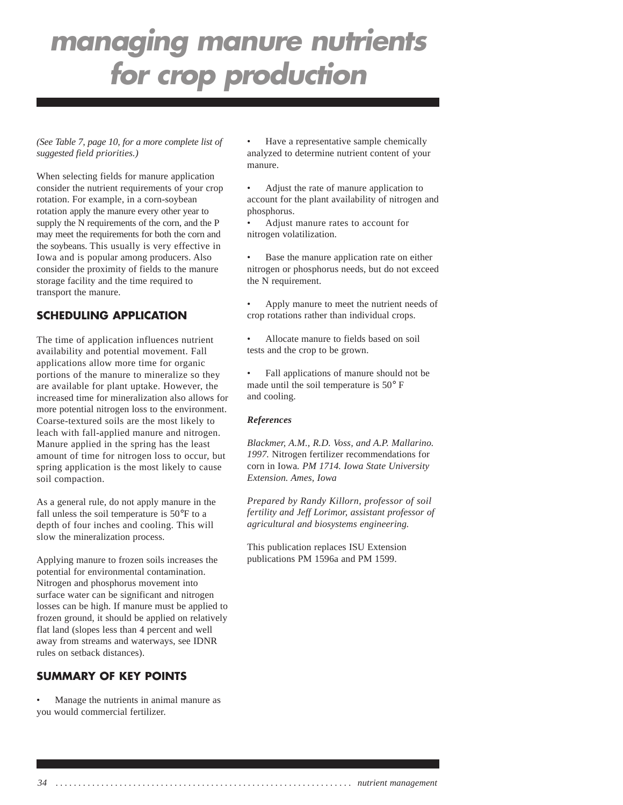*(See Table 7, page 10, for a more complete list of suggested field priorities.)*

When selecting fields for manure application consider the nutrient requirements of your crop rotation. For example, in a corn-soybean rotation apply the manure every other year to supply the N requirements of the corn, and the P may meet the requirements for both the corn and the soybeans. This usually is very effective in Iowa and is popular among producers. Also consider the proximity of fields to the manure storage facility and the time required to transport the manure.

## **SCHEDULING APPLICATION**

The time of application influences nutrient availability and potential movement. Fall applications allow more time for organic portions of the manure to mineralize so they are available for plant uptake. However, the increased time for mineralization also allows for more potential nitrogen loss to the environment. Coarse-textured soils are the most likely to leach with fall-applied manure and nitrogen. Manure applied in the spring has the least amount of time for nitrogen loss to occur, but spring application is the most likely to cause soil compaction.

As a general rule, do not apply manure in the fall unless the soil temperature is 50°F to a depth of four inches and cooling. This will slow the mineralization process.

Applying manure to frozen soils increases the potential for environmental contamination. Nitrogen and phosphorus movement into surface water can be significant and nitrogen losses can be high. If manure must be applied to frozen ground, it should be applied on relatively flat land (slopes less than 4 percent and well away from streams and waterways, see IDNR rules on setback distances).

### **SUMMARY OF KEY POINTS**

• Manage the nutrients in animal manure as you would commercial fertilizer.

• Have a representative sample chemically analyzed to determine nutrient content of your manure.

• Adjust the rate of manure application to account for the plant availability of nitrogen and phosphorus.

• Adjust manure rates to account for nitrogen volatilization.

Base the manure application rate on either nitrogen or phosphorus needs, but do not exceed the N requirement.

• Apply manure to meet the nutrient needs of crop rotations rather than individual crops.

• Allocate manure to fields based on soil tests and the crop to be grown.

• Fall applications of manure should not be made until the soil temperature is 50° F and cooling.

#### *References*

*Blackmer, A.M., R.D. Voss, and A.P. Mallarino. 1997.* Nitrogen fertilizer recommendations for corn in Iowa*. PM 1714. Iowa State University Extension. Ames, Iowa*

*Prepared by Randy Killorn, professor of soil fertility and Jeff Lorimor, assistant professor of agricultural and biosystems engineering.*

This publication replaces ISU Extension publications PM 1596a and PM 1599.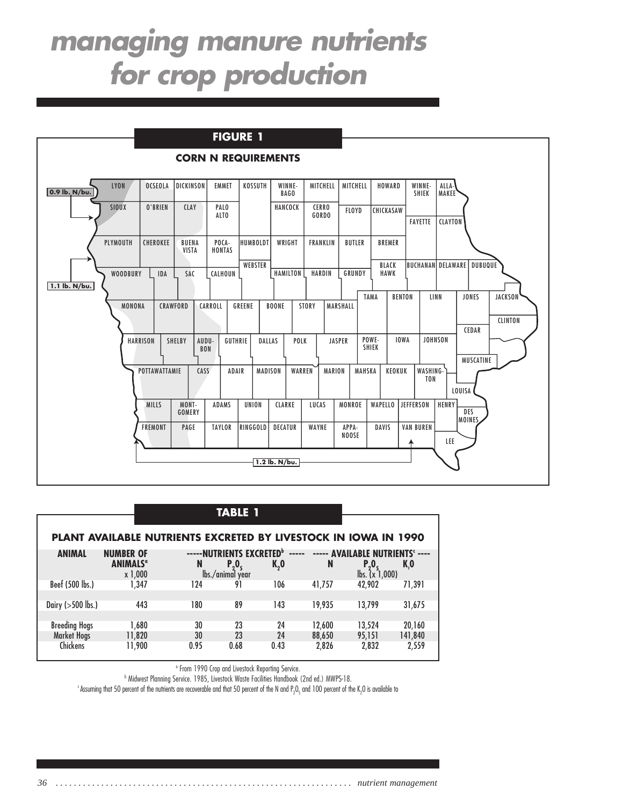

| TA 3 L |  |
|--------|--|
|--------|--|

|                      | <b>PLANT AVAILABLE NUTRIENTS EXCRETED BY LIVESTOCK IN IOWA IN 1990</b> |                                           |                  |                     |        |                                            |         |
|----------------------|------------------------------------------------------------------------|-------------------------------------------|------------------|---------------------|--------|--------------------------------------------|---------|
| <b>ANIMAL</b>        | <b>NUMBER OF</b><br><b>ANIMALS<sup>ª</sup></b>                         | -----NUTRIENTS EXCRETED <sup>b</sup><br>N | $P_2O_5$         | $- - - - -$<br>K, 0 | N      | ----- AVAILABLE NUTRIENTS' ----<br>$P_{0}$ | K,O     |
|                      | x 1,000                                                                |                                           | lbs./animal year |                     |        | $\mathsf{lbs.}$ $(x\bar{1},000)$           |         |
| Beef (500 lbs.)      | 1.347                                                                  | 124                                       | 91               | 106                 | 41.757 | 42.902                                     | 71.391  |
|                      |                                                                        |                                           |                  |                     |        |                                            |         |
| Dairy $(>500$ lbs.)  | 443                                                                    | 180                                       | 89               | 143                 | 19.935 | 13.799                                     | 31,675  |
|                      |                                                                        |                                           |                  |                     |        |                                            |         |
| <b>Breeding Hogs</b> | 1.680                                                                  | 30                                        | 23               | 24                  | 12.600 | 13.524                                     | 20,160  |
| <b>Market Hogs</b>   | 11,820                                                                 | 30                                        | 23               | 24                  | 88,650 | 95.151                                     | 141,840 |
| <b>Chickens</b>      | 11.900                                                                 | 0.95                                      | 0.68             | 0.43                | 2,826  | 2,832                                      | 2,559   |

<sup>a</sup> From 1990 Crop and Livestock Reporting Service.

b Midwest Planning Service. 1985, Livestock Waste Facilities Handbook (2nd ed.) MWPS-18.

 $^{\rm c}$ Assuming that 50 percent of the nutrients are recoverable and that 50 percent of the N and P $_2$ O<sub>s</sub> and 100 percent of the K $_2$ O is available to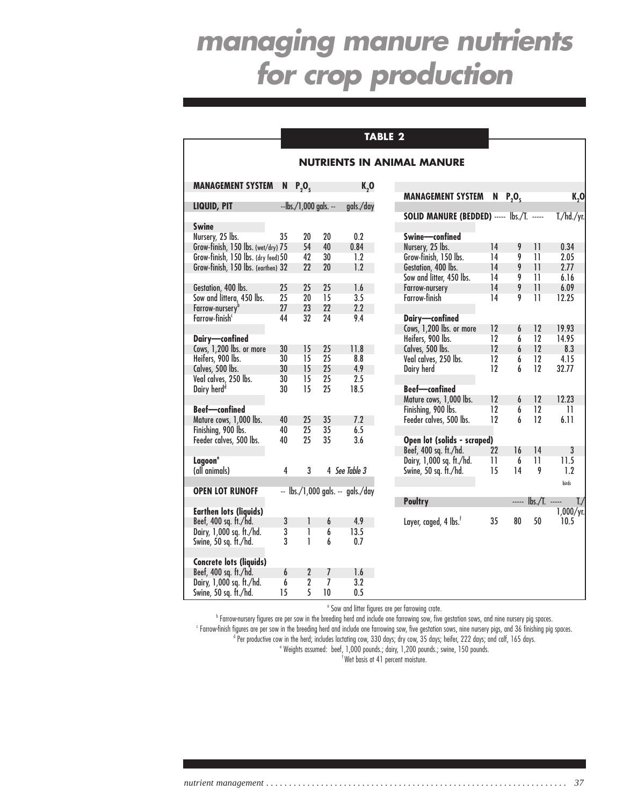### **TABLE 2**

|                                     |    |                          |                |                                  | <b>NUTRIENTS IN ANIMAL MANURE</b>            |
|-------------------------------------|----|--------------------------|----------------|----------------------------------|----------------------------------------------|
| <b>MANAGEMENT SYSTEM</b>            | N  | $P_2O_5$                 |                | K, 0                             | <b>MANAGEMENT SY</b>                         |
| LIQUID, PIT                         |    | $-$ lbs./1,000 gals. $-$ |                | gals./day                        |                                              |
|                                     |    |                          |                |                                  | <b>SOLID MANURE (B</b>                       |
| <b>Swine</b><br>Nursery, 25 lbs.    | 35 | 20                       | 20             | 0.2                              | Swine-confined                               |
| Grow-finish, 150 lbs. (wet/dry) 75  |    | 54                       | 40             | 0.84                             | Nursery, 25 lbs.                             |
| Grow-finish, 150 lbs. (dry feed) 50 |    | 42                       | 30             | 1.2                              | Grow-finish, 150 lbs.                        |
| Grow-finish, 150 lbs. (earthen) 32  |    | 22                       | 20             | 1.2                              | Gestation, 400 lbs.                          |
|                                     |    |                          |                |                                  | Sow and litter, 450 lb                       |
| Gestation, 400 lbs.                 | 25 | 25                       | 25             | 1.6                              | Farrow-nursery                               |
| Sow and littera, 450 lbs.           | 25 | 20                       | 15             | 3.5                              | Farrow-finish                                |
| Farrow-nursery <sup>b</sup>         | 27 | 23                       | 22             | 2.2                              |                                              |
| Farrow-finish <sup>c</sup>          | 44 | 32                       | 24             | 9.4                              | Dairy-confined                               |
| Dairy-confined                      |    |                          |                |                                  | Cows, 1,200 lbs. or n<br>Heifers, 900 lbs.   |
| Cows, 1,200 lbs. or more            | 30 | 15                       | 25             | 11.8                             | Calves, 500 lbs.                             |
| Heifers, 900 lbs.                   | 30 | 15                       | 25             | 8.8                              | Veal calves, 250 lbs.                        |
| Calves, 500 lbs.                    | 30 | 15                       | 25             | 4.9                              | Dairy herd                                   |
| Veal calves, 250 lbs.               | 30 | 15                       | 25             | 2.5                              |                                              |
| Dairy herd <sup>d</sup>             | 30 | 15                       | 25             | 18.5                             | <b>Beef-confined</b><br>Mature cows, 1,000 l |
| <b>Beef-confined</b>                |    |                          |                |                                  | Finishing, 900 lbs.                          |
| Mature cows, 1,000 lbs.             | 40 | 25                       | 35             | 7.2                              | Feeder calves, 500 lb                        |
| Finishing, 900 lbs.                 | 40 | 25                       | 35             | 6.5                              |                                              |
| Feeder calves, 500 lbs.             | 40 | 25                       | 35             | 3.6                              | Open lot (solids -<br>Beef, 400 sq. ft./hd.  |
| Lagoon <sup>e</sup>                 |    |                          |                |                                  | Dairy, 1,000 sq. ft./h                       |
| (all animals)                       | 4  | 3                        |                | 4 See Table 3                    | Swine, 50 sq. ft./hd.                        |
| <b>OPEN LOT RUNOFF</b>              |    |                          |                | -- lbs./1,000 gals. -- gals./day |                                              |
|                                     |    |                          |                |                                  | <b>Poultry</b>                               |
| <b>Earthen lots (liquids)</b>       |    |                          |                |                                  |                                              |
| Beef, 400 sq. ft./hd.               | 3  | 1                        | 6              | 4.9                              | Layer, caged, 4 lbs. <sup>†</sup>            |
| Dairy, 1,000 sq. ft./hd.            | 3  | 1                        | 6              | 13.5                             |                                              |
| Swine, 50 sq. ft./hd.               | 3  | 1                        | 6              | 0.7                              |                                              |
| <b>Concrete lots (liquids)</b>      |    |                          |                |                                  |                                              |
| Beef, 400 sq. ft./hd.               | 6  | $\overline{2}$           | 7              | 1.6                              |                                              |
| Dairy, 1,000 sq. ft./hd.            | 6  | $\overline{2}$           | $\overline{I}$ | 3.2                              |                                              |
| Swine, 50 sq. ft./hd.               | 15 | 5                        | 10             | 0.5                              |                                              |

| <b>MANAGEMENT SYSTEM</b>                   | N  | P, O, |                 | K,0               |
|--------------------------------------------|----|-------|-----------------|-------------------|
| SOLID MANURE (BEDDED) ----- lbs./T. -----  |    |       |                 | T./hd./yr.        |
|                                            |    |       |                 |                   |
| Swine-confined                             |    |       |                 |                   |
| Nursery, 25 lbs.                           | 14 | 9     | $\overline{11}$ | 0.34              |
| Grow-finish, 150 lbs.                      | 14 | 9     | 11              | 2.05              |
| Gestation, 400 lbs.                        | 14 | 9     | 11              | 2.77              |
| Sow and litter, 450 lbs.                   | 14 | 9     | 11              | 6.16              |
| Farrow-nursery                             | 14 | 9     | 11              | 6.09              |
| <b>Farrow-finish</b>                       | 14 | 9     | 11              | 12.25             |
|                                            |    |       |                 |                   |
| Dairy—confined<br>Cows, 1,200 lbs. or more |    |       |                 |                   |
|                                            | 12 | 6     | 12              | 19.93             |
| Heifers, 900 lbs.                          | 12 | 6     | 12              | 14.95             |
| Calves, 500 lbs.                           | 12 | 6     | 12              | 8.3               |
| Veal calves, 250 lbs.                      | 12 | 6     | 12              | 4.15              |
| Dairy herd                                 | 12 | h     | 12              | 32.77             |
|                                            |    |       |                 |                   |
| <b>Beef-confined</b>                       |    |       |                 |                   |
| Mature cows, 1,000 lbs.                    | 12 | 6     | 12              | 12.23             |
| Finishing, 900 lbs.                        | 12 | 6     | 12              | 11                |
| Feeder calves, 500 lbs.                    | 12 | 6     | 12              | 6.11              |
|                                            |    |       |                 |                   |
| Open lot (solids - scraped)                |    |       |                 |                   |
| Beef, 400 sq. ft./hd.                      | 22 | 16    | 14              | 3                 |
| Dairy, 1,000 sq. ft./hd.                   | 11 | 6     | 11              | 11.5              |
| Swine, 50 sq. ft./hd.                      | 15 | 14    | 9               | 1.2               |
|                                            |    |       |                 | birds             |
|                                            |    |       |                 |                   |
| <b>Poultry</b>                             |    | ----- | Ibs./T.         | $\mathsf{L}$      |
| Layer, caged, 4 lbs. <sup>f</sup>          | 35 | 80    | 50              | 1,000/yr.<br>10.5 |
|                                            |    |       |                 |                   |
|                                            |    |       |                 |                   |
|                                            |    |       |                 |                   |
|                                            |    |       |                 |                   |
|                                            |    |       |                 |                   |
|                                            |    |       |                 |                   |

<sup>a</sup> Sow and litter figures are per farrowing crate.

b Farrow-nursery figures are per sow in the breeding herd and include one farrowing sow, five gestation sows, and nine nursery pig spaces.

c Farrow-finish figures are per sow in the breeding herd and include one farrowing sow, five gestation sows, nine nursery pigs, and 36 finishing pig spaces.

<sup>d</sup> Per productive cow in the herd; includes lactating cow, 330 days; dry cow, 35 days; heifer, 222 days; and calf, 165 days.

e Weights assumed: beef, 1,000 pounds.; dairy, 1,200 pounds.; swine, 150 pounds. f Wet basis at 41 percent moisture.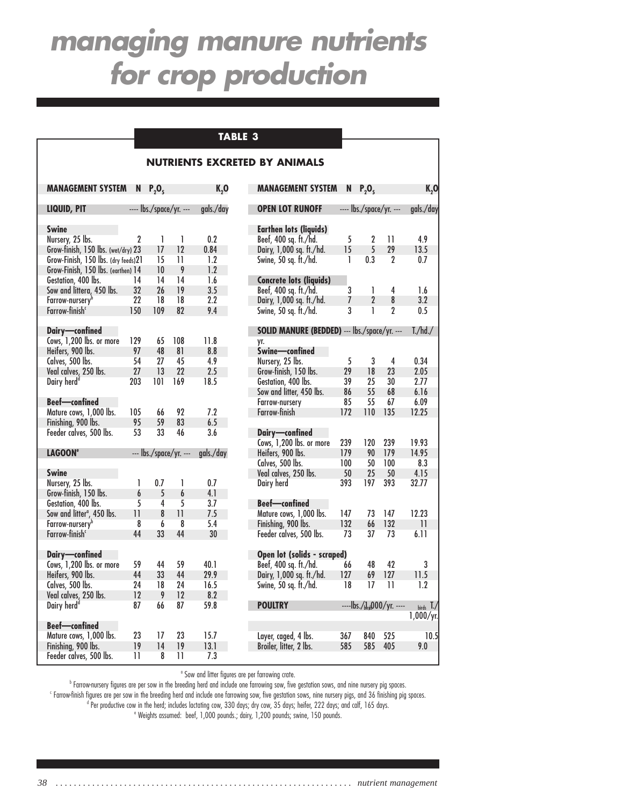## **TABLE 3**

### **NUTRIENTS EXCRETED BY ANIMALS**

| <b>MANAGEMENT SYSTEM</b>               | N,                      | $P_2O_5$                |                         | K, O      | <b>MANAGEMENT SYSTEM</b>                     | N,  | $P_2O_5$                |                                           | <b>K,0</b>      |
|----------------------------------------|-------------------------|-------------------------|-------------------------|-----------|----------------------------------------------|-----|-------------------------|-------------------------------------------|-----------------|
| LIQUID, PIT                            |                         | ---- lbs./space/yr. --- |                         | gals./day | <b>OPEN LOT RUNOFF</b>                       |     | ---- lbs./space/yr. --- |                                           | gals./day       |
| <b>Swine</b>                           |                         |                         |                         |           | <b>Earthen lots (liquids)</b>                |     |                         |                                           |                 |
| Nursery, 25 lbs.                       | $\overline{2}$          | 1                       | 1                       | 0.2       | Beef, 400 sq. ft./hd.                        | 5   | $\boldsymbol{2}$        | 11                                        | 4.9             |
| Grow-finish, 150 lbs. (wet/dry) 23     |                         | 17                      | 12                      | 0.84      | Dairy, 1,000 sq. ft./hd.                     | 15  | 5                       | 29                                        | 13.5            |
| Grow-Finish, 150 lbs. (dry feeds)21    |                         | 15                      | $\overline{11}$         | 1.2       | Swine, 50 sq. ft./hd.                        | 1   | 0.3                     | $\boldsymbol{\eta}$                       | 0.7             |
| Grow-Finish, 150 lbs. (earthen) 14     |                         | 10                      | 9                       | 1.2       |                                              |     |                         |                                           |                 |
| Gestation, 400 lbs.                    | 14                      | 14                      | 14                      | 1.6       | <b>Concrete lots (liquids)</b>               |     |                         |                                           |                 |
| Sow and littera, 450 lbs.              | 32                      | 26                      | 19                      | 3.5       | Beef, 400 sq. ft./hd.                        | 3   | 1                       | 4                                         | 1.6             |
| Farrow-nursery <sup>b</sup>            | 22                      | 18                      | 18                      | 2.2       | Dairy, 1,000 sq. ft./hd.                     | 7   | $\boldsymbol{2}$        | 8                                         | 3.2             |
| Farrow-finish <sup>c</sup>             | 150                     | 109                     | 82                      | 9.4       | Swine, 50 sq. ft./hd.                        | 3   | $\mathbf{I}$            | $\overline{2}$                            | 0.5             |
| Dairy-confined                         |                         |                         |                         |           | SOLID MANURE (BEDDED) --- lbs./space/yr. --- |     |                         |                                           | T./hd./         |
| Cows, 1,200 lbs. or more               | 129                     | 65                      | 108                     | 11.8      | yr.                                          |     |                         |                                           |                 |
| Heifers, 900 lbs.                      | 97                      | 48                      | 81                      | 8.8       | Swine-confined                               |     |                         |                                           |                 |
| Calves, 500 lbs.                       | 54                      | 27                      | 45                      | 4.9       | Nursery, 25 lbs.                             | 5   | $\mathbf 3$             | $\overline{4}$                            | 0.34            |
| Veal calves, 250 lbs.                  | 27                      | 13                      | 22                      | 2.5       | Grow-finish, 150 lbs.                        | 29  | 18                      | 23                                        | 2.05            |
| Dairy herd <sup>d</sup>                | 203                     | 101                     | 169                     | 18.5      | Gestation, 400 lbs.                          | 39  | 25                      | 30                                        | 2.77            |
|                                        |                         |                         |                         |           | Sow and litter, 450 lbs.                     | 86  | 55                      | 68                                        | 6.16            |
| <b>Beef-confined</b>                   |                         |                         |                         |           | Farrow-nursery                               | 85  | 55                      | 67                                        | 6.09            |
| Mature cows, 1,000 lbs.                | 105                     | 66                      | 92                      | 7.2       | Farrow-finish                                | 172 | 110                     | 135                                       | 12.25           |
| Finishing, 900 lbs.                    | 95                      | 59                      | 83                      | 6.5       |                                              |     |                         |                                           |                 |
| Feeder calves, 500 lbs.                | 53                      | 33                      | 46                      | 3.6       | Dairy-confined                               |     |                         |                                           |                 |
|                                        |                         |                         |                         |           | Cows, 1,200 lbs. or more                     | 239 | 120                     | 239                                       | 19.93           |
| <b>LAGOON®</b>                         |                         |                         | $-$ lbs./space/yr. $-$  | gals./day | Heifers, 900 lbs.                            | 179 | 90                      | 179                                       | 14.95           |
|                                        |                         |                         |                         |           | Calves, 500 lbs.                             | 100 | 50                      | 100                                       | 8.3             |
| <b>Swine</b>                           |                         |                         |                         |           | Veal calves, 250 lbs.                        | 50  | 25                      | 50                                        | 4.15            |
| Nursery, 25 lbs.                       | 1                       | 0.7                     | 1                       | 0.7       | Dairy herd                                   | 393 | 197                     | 393                                       | 32.77           |
| Grow-finish, 150 lbs.                  | 6                       | 5                       | 6                       | 4.1       |                                              |     |                         |                                           |                 |
| Gestation, 400 lbs.                    | 5                       | 4                       | 5                       | 3.7       | <b>Beef-confined</b>                         |     |                         |                                           |                 |
| Sow and litter <sup>a</sup> , 450 lbs. | $\overline{\mathbf{1}}$ | 8                       | $\overline{\mathbf{1}}$ | 7.5       | Mature cows, 1,000 lbs.                      | 147 | 73                      | 147                                       | 12.23           |
| Farrow-nursery <sup>b</sup>            | 8                       | $\overline{6}$          | 8                       | 5.4       | Finishing, 900 lbs.                          | 132 | 66                      | 132                                       | $\overline{11}$ |
| Farrow-finish <sup>c</sup>             | 44                      | 33                      | 44                      | 30        | Feeder calves, 500 lbs.                      | 73  | 37                      | 73                                        | 6.11            |
| Dairy-confined                         |                         |                         |                         |           | Open lot (solids - scraped)                  |     |                         |                                           |                 |
| Cows, 1,200 lbs. or more               | 59                      | 44                      | 59                      | 40.1      | Beef, 400 sq. ft./hd.                        | 66  | 48                      | 42                                        | 3               |
| Heifers, 900 lbs.                      | 44                      | 33                      | 44                      | 29.9      | Dairy, 1,000 sq. ft./hd.                     | 127 | 69                      | 127                                       | 11.5            |
| Calves, 500 lbs.                       | 24                      | 18                      | 24                      | 16.5      | Swine, 50 sq. ft./hd.                        | 18  | 17                      | $\overline{11}$                           | 1.2             |
| Veal calves, 250 lbs.                  | 12                      | 9                       | 12                      | 8.2       |                                              |     |                         |                                           |                 |
| Dairy herd <sup>d</sup>                | 87                      | 66                      | 87                      | 59.8      | <b>POULTRY</b>                               |     |                         | $---$ lbs./ $_{\text{b}rel}$ 000/yr. ---- | birds $T$ .     |
|                                        |                         |                         |                         |           |                                              |     |                         |                                           | 1,000/yr.       |
| <b>Beef-confined</b>                   |                         |                         |                         |           |                                              |     |                         |                                           |                 |
| Mature cows, 1,000 lbs.                | 23<br>19                | 17                      | 23                      | 15.7      | Layer, caged, 4 lbs.                         | 367 | 840                     | 525                                       | 10.5            |
| Finishing, 900 lbs.                    |                         | 14                      | 19                      | 13.1      | Broiler, litter, 2 lbs.                      | 585 | 585                     | 405                                       | 9.0             |
| Feeder calves, 500 lbs.                | $\overline{11}$         | 8                       | $\overline{11}$         | 7.3       |                                              |     |                         |                                           |                 |

| <b>OPEN LOT RUNOFF</b>                          |          |                | ---- lbs./space/yr. ---                | gals./day                           |
|-------------------------------------------------|----------|----------------|----------------------------------------|-------------------------------------|
| Earthen lots (liquids)                          |          |                |                                        |                                     |
| Beef, 400 sq. ft./hd.                           | 5        | 2              | 11                                     | 4.9                                 |
| Dairy, 1,000 sq. ft./hd.                        | 15       | 5              | 29                                     | 13.5                                |
| Swine, 50 sq. ft./hd.                           | 1        | 0.3            | 2                                      | 0.7                                 |
| <b>Concrete lots (liquids)</b>                  |          |                |                                        |                                     |
| Beef, 400 sq. ft./hd.                           | 3        | 1              | 4                                      | 1.6                                 |
| Dairy, 1,000 sq. ft./hd.                        | 7        | $\overline{2}$ | 8                                      | 3.2                                 |
| Swine, 50 sq. ft./hd.                           | 3        | 1              | 2                                      | 0.5                                 |
| SOLID MANURE (BEDDED) --- lbs./space/yr. ---    |          |                |                                        | T./hd./                             |
| yr.                                             |          |                |                                        |                                     |
| <b>Swine-confined</b><br>Nursery, 25 lbs.       | 5        |                | 4                                      |                                     |
|                                                 |          | 3              |                                        | 0.34                                |
| Grow-finish, 150 lbs.                           | 29<br>39 | 18<br>25       | 23<br>30                               | 2.05<br>2.77                        |
| Gestation, 400 lbs.<br>Sow and litter, 450 lbs. | 86       | 55             | 68                                     | 6.16                                |
|                                                 |          |                |                                        |                                     |
| Farrow-nursery                                  | 85       | 55             | 67                                     | 6.09                                |
| Farrow-finish                                   | 172      | 110            | 135                                    | 12.25                               |
| Dairy—confined<br>Cows, 1,200 lbs. or more      |          |                |                                        |                                     |
|                                                 | 239      | 120            | 239                                    | 19.93                               |
| Heifers, 900 lbs.                               | 179      | 90             | 179                                    | 14.95                               |
| Calves, 500 lbs.                                | 100      | 50             | 100                                    | 8.3                                 |
| Veal calves, 250 lbs.                           | 50       | 25             | 50                                     | 4.15                                |
| Dairy herd                                      | 393      | 197            | 393                                    | 32.77                               |
| <b>Beef-confined</b>                            |          |                |                                        |                                     |
| Mature cows, 1,000 lbs.                         | 147      | 73             | 147                                    | 12.23                               |
| Finishing, 900 lbs.                             | 132      | 66             | 132                                    | $\overline{11}$                     |
| Feeder calves, 500 lbs.                         | 73       | 37             | 73                                     | 6.11                                |
| Open lot (solids - scraped)                     |          |                |                                        |                                     |
| Beef, 400 sq. ft./hd.                           | 66       | 48             | 42                                     | 3                                   |
| Dairy, 1,000 sq. ft./hd.                        | 127      | 69             | 127                                    | 11.5                                |
| Swine, 50 sq. ft./hd.                           | 18       | 17             | 11                                     | 1.2                                 |
| <b>POULTRY</b>                                  |          |                | ----lbs./ <sub>blrd</sub> 000/yr. ---- | $_{\text{birds}}$ $\overline{I}$ ./ |
|                                                 |          |                |                                        | 1,000/yr.                           |
| Layer, caged, 4 lbs.                            | 367      | 840            | 525                                    | 10.5                                |
| Broiler, litter, 2 lbs.                         | 585      | 585            | 405                                    | 9.0                                 |
|                                                 |          |                |                                        |                                     |

<sup>a</sup> Sow and litter figures are per farrowing crate.

b Farrow-nursery figures are per sow in the breeding herd and include one farrowing sow, five gestation sows, and nine nursery pig spaces. c Farrow-finish figures are per sow in the breeding herd and include one farrowing sow, five gestation sows, nine nursery pigs, and 36 finishing pig spaces. <sup>d</sup> Per productive cow in the herd; includes lactating cow, 330 days; dry cow, 35 days; heifer, 222 days; and calf, 165 days.

e Weights assumed: beef, 1,000 pounds.; dairy, 1,200 pounds; swine, 150 pounds.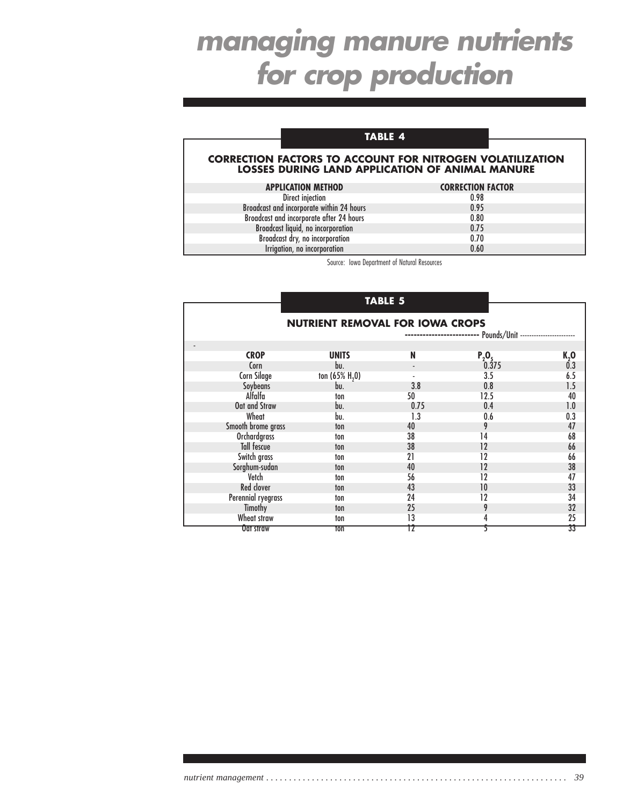## **TABLE 4**

#### **CORRECTION FACTORS TO ACCOUNT FOR NITROGEN VOLATILIZATION LOSSES DURING LAND APPLICATION OF ANIMAL MANURE**

| <b>APPLICATION METHOD</b>                 | <b>CORRECTION FACTOR</b> |
|-------------------------------------------|--------------------------|
| Direct injection                          | 0.98                     |
| Broadcast and incorporate within 24 hours | 0.95                     |
| Broadcast and incorporate after 24 hours  | 0.80                     |
| Broadcast liquid, no incorporation        | 0.75                     |
| Broadcast dry, no incorporation           | 0.70                     |
| Irrigation, no incorporation              | 0.60                     |

Source: Iowa Department of Natural Resources

## **TABLE 5**

| <b>NUTRIENT REMOVAL FOR IOWA CROPS</b><br>-- Pounds/Unit ---------------------- |                          |      |          |      |  |  |  |  |  |
|---------------------------------------------------------------------------------|--------------------------|------|----------|------|--|--|--|--|--|
| <b>CROP</b>                                                                     | <b>UNITS</b>             | N    |          |      |  |  |  |  |  |
|                                                                                 |                          |      | $P_2O_5$ | K, 0 |  |  |  |  |  |
| Corn                                                                            | bu.                      |      | 0.375    | 0.3  |  |  |  |  |  |
| <b>Corn Silage</b>                                                              | ton $(65\% \text{ H}_2)$ |      | 3.5      | 6.5  |  |  |  |  |  |
| Soybeans                                                                        | bu.                      | 3.8  | 0.8      | 1.5  |  |  |  |  |  |
| Alfalfa                                                                         | ton                      | 50   | 12.5     | 40   |  |  |  |  |  |
| Oat and Straw                                                                   | bu.                      | 0.75 | 0.4      | 1.0  |  |  |  |  |  |
| Wheat                                                                           | bu.                      | 1.3  | 0.6      | 0.3  |  |  |  |  |  |
| Smooth brome grass                                                              | ton                      | 40   | 9        | 47   |  |  |  |  |  |
| <b>Orchardgrass</b>                                                             | ton                      | 38   | 14       | 68   |  |  |  |  |  |
| Tall fescue                                                                     | ton                      | 38   | 12       | 66   |  |  |  |  |  |
| Switch grass                                                                    | ton                      | 21   | 12       | 66   |  |  |  |  |  |
| Sorghum-sudan                                                                   | ton                      | 40   | 12       | 38   |  |  |  |  |  |
| Vetch                                                                           | ton                      | 56   | 12       | 47   |  |  |  |  |  |
| <b>Red clover</b>                                                               | ton                      | 43   | 10       | 33   |  |  |  |  |  |
| Perennial ryegrass                                                              | ton                      | 24   | 12       | 34   |  |  |  |  |  |
| Timothy                                                                         | ton                      | 25   | 9        | 32   |  |  |  |  |  |
| Wheat straw                                                                     | ton                      | 13   | 4        | 25   |  |  |  |  |  |
| <b>Vat straw</b>                                                                | ton                      | TZ   |          | 33   |  |  |  |  |  |